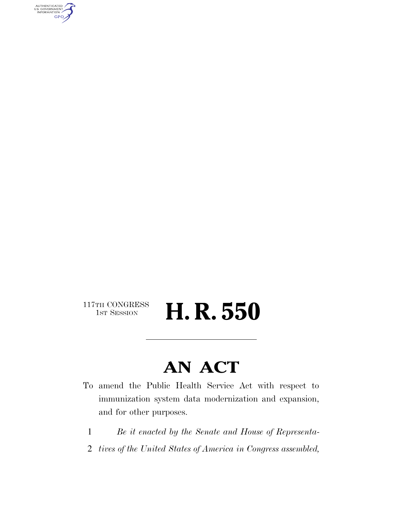AUTHENTICATED<br>U.S. GOVERNMENT<br>INFORMATION GPO

117TH CONGRESS<br>1st Session

H. R. 550

## **AN ACT**

- To amend the Public Health Service Act with respect to immunization system data modernization and expansion, and for other purposes.
	- 1 *Be it enacted by the Senate and House of Representa-*
- 2 *tives of the United States of America in Congress assembled,*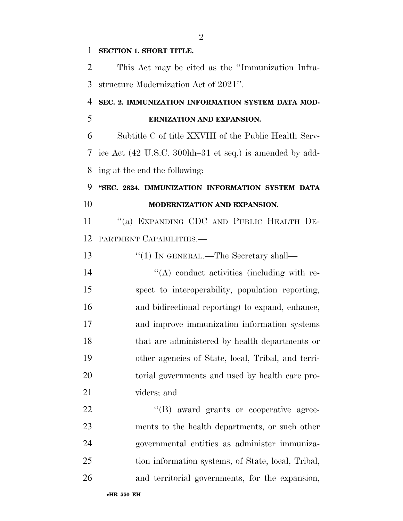#### **SECTION 1. SHORT TITLE.**

 This Act may be cited as the ''Immunization Infra-structure Modernization Act of 2021''.

### **SEC. 2. IMMUNIZATION INFORMATION SYSTEM DATA MOD-**

#### **ERNIZATION AND EXPANSION.**

 Subtitle C of title XXVIII of the Public Health Serv- ice Act (42 U.S.C. 300hh–31 et seq.) is amended by add-ing at the end the following:

#### **''SEC. 2824. IMMUNIZATION INFORMATION SYSTEM DATA MODERNIZATION AND EXPANSION.**

 ''(a) EXPANDING CDC AND PUBLIC HEALTH DE-PARTMENT CAPABILITIES.—

| 13 | $\lq(1)$ In GENERAL.—The Secretary shall—          |
|----|----------------------------------------------------|
| 14 | $\lq\lq$ conduct activities (including with re-    |
| 15 | spect to interoperability, population reporting,   |
| 16 | and bidirectional reporting to expand, enhance,    |
| 17 | and improve immunization information systems       |
| 18 | that are administered by health departments or     |
| 19 | other agencies of State, local, Tribal, and terri- |
| 20 | torial governments and used by health care pro-    |
| 21 | viders; and                                        |

 $\text{``(B)}$  award grants or cooperative agree- ments to the health departments, or such other governmental entities as administer immuniza- tion information systems, of State, local, Tribal, and territorial governments, for the expansion,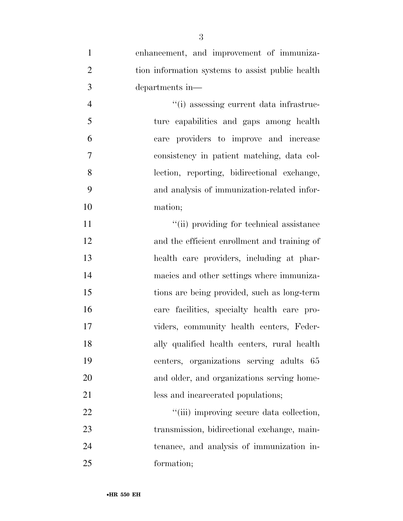| $\mathbf{1}$   | enhancement, and improvement of immuniza-        |
|----------------|--------------------------------------------------|
| $\overline{2}$ | tion information systems to assist public health |
| 3              | departments in—                                  |
| $\overline{4}$ | "(i) assessing current data infrastruc-          |
| 5              | ture capabilities and gaps among health          |
| 6              | care providers to improve and increase           |
| $\overline{7}$ | consistency in patient matching, data col-       |
| 8              | lection, reporting, bidirectional exchange,      |
| 9              | and analysis of immunization-related infor-      |
| 10             | mation;                                          |
| 11             | "(ii) providing for technical assistance         |
| 12             | and the efficient enrollment and training of     |
| 13             | health care providers, including at phar-        |
| 14             | macies and other settings where immuniza-        |
| 15             | tions are being provided, such as long-term      |
| 16             | care facilities, specialty health care pro-      |
| 17             | viders, community health centers, Feder-         |
| 18             | ally qualified health centers, rural health      |
| 19             | centers, organizations serving adults 65         |
| 20             | and older, and organizations serving home-       |
| 21             | less and incarcerated populations;               |
| 22             | "(iii) improving secure data collection,         |
| 23             | transmission, bidirectional exchange, main-      |
| 24             | tenance, and analysis of immunization in-        |
| 25             | formation;                                       |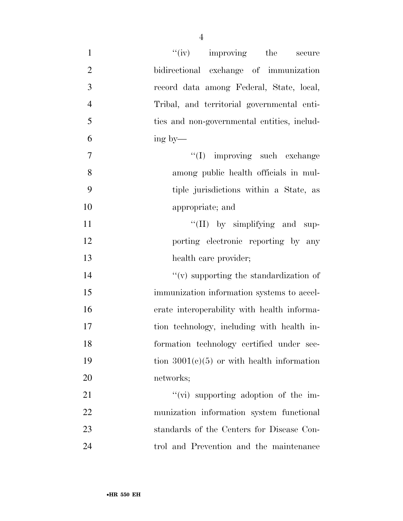| $\mathbf{1}$   | "(iv) improving the secure                         |
|----------------|----------------------------------------------------|
| $\mathbf{2}$   | bidirectional exchange of immunization             |
| 3              | record data among Federal, State, local,           |
| $\overline{4}$ | Tribal, and territorial governmental enti-         |
| 5              | ties and non-governmental entities, includ-        |
| 6              | ing by—                                            |
| $\overline{7}$ | "(I) improving such exchange                       |
| 8              | among public health officials in mul-              |
| 9              | tiple jurisdictions within a State, as             |
| 10             | appropriate; and                                   |
| 11             | "(II) by simplifying and sup-                      |
| 12             | porting electronic reporting by any                |
| 13             | health care provider;                              |
| 14             | $\mathcal{L}(v)$ supporting the standardization of |
| 15             | immunization information systems to accel-         |
| 16             | erate interoperability with health informa-        |
| 17             | tion technology, including with health in-         |
| 18             | formation technology certified under sec-          |
| 19             | tion $3001(c)(5)$ or with health information       |
| 20             | networks;                                          |
| 21             | $\lq\lq$ supporting adoption of the im-            |
| 22             | munization information system functional           |
| 23             | standards of the Centers for Disease Con-          |
| 24             | trol and Prevention and the maintenance            |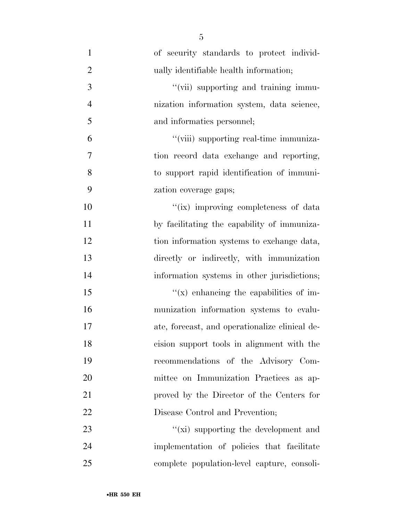| $\mathbf{1}$   | of security standards to protect individ-      |
|----------------|------------------------------------------------|
| $\overline{2}$ | ually identifiable health information;         |
| 3              | "(vii) supporting and training immu-           |
| $\overline{4}$ | nization information system, data science,     |
| 5              | and informatics personnel;                     |
| 6              | "(viii) supporting real-time immuniza-         |
| 7              | tion record data exchange and reporting,       |
| 8              | to support rapid identification of immuni-     |
| 9              | zation coverage gaps;                          |
| 10             | "(ix) improving completeness of data           |
| 11             | by facilitating the capability of immuniza-    |
| 12             | tion information systems to exchange data,     |
| 13             | directly or indirectly, with immunization      |
| 14             | information systems in other jurisdictions;    |
| 15             | $f(x)$ enhancing the capabilities of im-       |
| 16             | munization information systems to evalu-       |
| 17             | ate, forecast, and operationalize clinical de- |
| 18             | cision support tools in alignment with the     |
| 19             | recommendations of the Advisory Com-           |
| 20             | mittee on Immunization Practices as ap-        |
| 21             | proved by the Director of the Centers for      |
| 22             | Disease Control and Prevention;                |
| 23             | " $(xi)$ supporting the development and        |
| 24             | implementation of policies that facilitate     |
| 25             | complete population-level capture, consoli-    |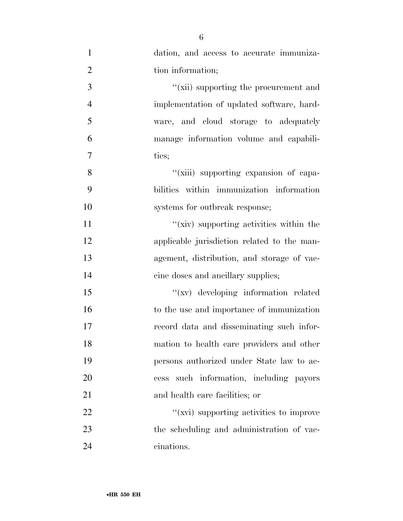| $\mathbf{1}$   | dation, and access to accurate immuniza-    |
|----------------|---------------------------------------------|
| $\overline{2}$ | tion information;                           |
| $\overline{3}$ | "(xii) supporting the procurement and       |
| $\overline{4}$ | implementation of updated software, hard-   |
| 5              | ware, and cloud storage to adequately       |
| 6              | manage information volume and capabili-     |
| $\tau$         | ties;                                       |
| 8              | "(xiii) supporting expansion of capa-       |
| 9              | bilities within immunization information    |
| 10             | systems for outbreak response;              |
| 11             | "(xiv) supporting activities within the     |
| 12             | applicable jurisdiction related to the man- |
| 13             | agement, distribution, and storage of vac-  |
| 14             | cine doses and ancillary supplies;          |
| 15             | "(xv) developing information related        |
| 16             | to the use and importance of immunization   |
| 17             | record data and disseminating such infor-   |
| 18             | mation to health care providers and other   |
| 19             | persons authorized under State law to ac-   |
| 20             | such information, including payors<br>cess  |
| 21             | and health care facilities; or              |
| 22             | "(xvi) supporting activities to improve     |
| 23             | the scheduling and administration of vac-   |
| 24             | cinations.                                  |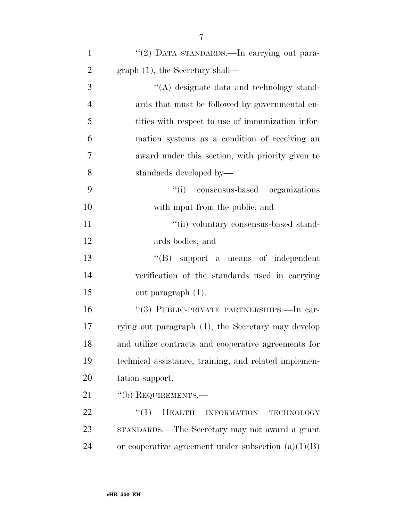| $\mathbf{1}$   | "(2) DATA STANDARDS.—In carrying out para-                 |
|----------------|------------------------------------------------------------|
| $\overline{2}$ | $graph (1)$ , the Secretary shall—                         |
| 3              | "(A) designate data and technology stand-                  |
| 4              | ards that must be followed by governmental en-             |
| 5              | tities with respect to use of immunization infor-          |
| 6              | mation systems as a condition of receiving an              |
| 7              | award under this section, with priority given to           |
| 8              | standards developed by—                                    |
| 9              | "(i) consensus-based organizations                         |
| 10             | with input from the public; and                            |
| 11             | "(ii) voluntary consensus-based stand-                     |
| 12             | ards bodies; and                                           |
| 13             | $\lq\lq(B)$ support a means of independent                 |
| 14             | verification of the standards used in carrying             |
| 15             | out paragraph (1).                                         |
| 16             | "(3) PUBLIC-PRIVATE PARTNERSHIPS.—In car-                  |
| 17             | rying out paragraph (1), the Secretary may develop         |
| 18             | and utilize contracts and cooperative agreements for       |
| 19             | technical assistance, training, and related implemen-      |
| 20             | tation support.                                            |
| 21             | "(b) REQUIREMENTS.-                                        |
| 22             | ``(1)<br><b>HEALTH</b><br><b>INFORMATION</b><br>TECHNOLOGY |
| 23             | STANDARDS.—The Secretary may not award a grant             |
| 24             | or cooperative agreement under subsection $(a)(1)(B)$      |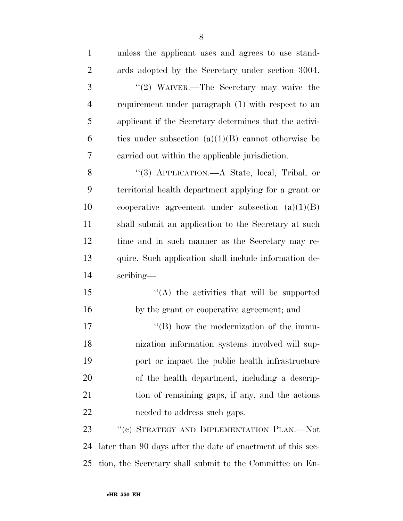| $\mathbf{1}$   | unless the applicant uses and agrees to use stand-          |
|----------------|-------------------------------------------------------------|
| $\overline{2}$ | ards adopted by the Secretary under section 3004.           |
| 3              | "(2) WAIVER.—The Secretary may waive the                    |
| $\overline{4}$ | requirement under paragraph (1) with respect to an          |
| 5              | applicant if the Secretary determines that the activi-      |
| 6              | ties under subsection $(a)(1)(B)$ cannot otherwise be       |
| 7              | carried out within the applicable jurisdiction.             |
| 8              | "(3) APPLICATION.—A State, local, Tribal, or                |
| 9              | territorial health department applying for a grant or       |
| 10             | cooperative agreement under subsection $(a)(1)(B)$          |
| 11             | shall submit an application to the Secretary at such        |
| 12             | time and in such manner as the Secretary may re-            |
| 13             | quire. Such application shall include information de-       |
| 14             | scribing—                                                   |
| 15             | $\lq\lq$ the activities that will be supported              |
| 16             | by the grant or cooperative agreement; and                  |
| 17             | $\lq\lq (B)$ how the modernization of the immu-             |
| 18             | nization information systems involved will sup-             |
| 19             | port or impact the public health infrastructure             |
| <b>20</b>      | of the health department, including a descrip-              |
| 21             | tion of remaining gaps, if any, and the actions             |
| 22             | needed to address such gaps.                                |
| 23             | "(c) STRATEGY AND IMPLEMENTATION PLAN.—Not                  |
| 24             | later than 90 days after the date of enactment of this sec- |
| 25             | tion, the Secretary shall submit to the Committee on En-    |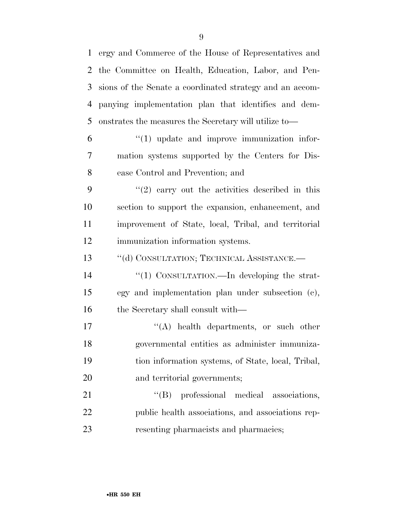ergy and Commerce of the House of Representatives and the Committee on Health, Education, Labor, and Pen- sions of the Senate a coordinated strategy and an accom- panying implementation plan that identifies and dem- onstrates the measures the Secretary will utilize to—  $6 \t\t\t\t\t\t''(1)$  update and improve immunization infor-

 mation systems supported by the Centers for Dis-ease Control and Prevention; and

 $(2)$  carry out the activities described in this section to support the expansion, enhancement, and improvement of State, local, Tribal, and territorial immunization information systems.

13 "(d) CONSULTATION; TECHNICAL ASSISTANCE.—

14  $\frac{1}{2}$  CONSULTATION.—In developing the strat- egy and implementation plan under subsection (c), 16 the Secretary shall consult with—

 $\langle (A) \rangle$  health departments, or such other governmental entities as administer immuniza- tion information systems, of State, local, Tribal, and territorial governments;

21  $''(B)$  professional medical associations, public health associations, and associations rep-resenting pharmacists and pharmacies;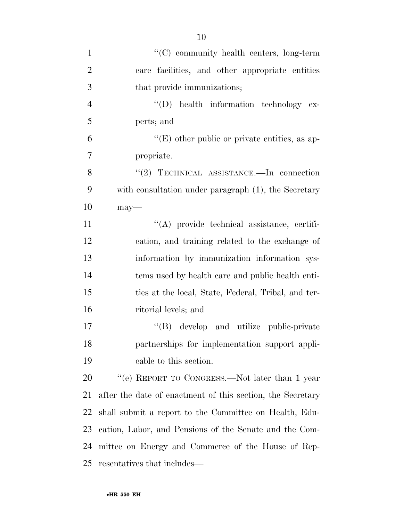| $\mathbf{1}$   | "(C) community health centers, long-term                   |
|----------------|------------------------------------------------------------|
| $\overline{2}$ | care facilities, and other appropriate entities            |
| 3              | that provide immunizations;                                |
| $\overline{4}$ | "(D) health information technology ex-                     |
| 5              | perts; and                                                 |
| 6              | $\lq\lq(E)$ other public or private entities, as ap-       |
| $\overline{7}$ | propriate.                                                 |
| 8              | "(2) TECHNICAL ASSISTANCE.—In connection                   |
| 9              | with consultation under paragraph (1), the Secretary       |
| 10             | $may$ —                                                    |
| 11             | "(A) provide technical assistance, certifi-                |
| 12             | cation, and training related to the exchange of            |
| 13             | information by immunization information sys-               |
| 14             | tems used by health care and public health enti-           |
| 15             | ties at the local, State, Federal, Tribal, and ter-        |
| 16             | ritorial levels; and                                       |
| 17             | "(B) develop and utilize public-private                    |
| 18             | partnerships for implementation support appli-             |
| 19             | cable to this section.                                     |
| 20             | "(e) REPORT TO CONGRESS.—Not later than $1$ year           |
| 21             | after the date of enactment of this section, the Secretary |
| 22             | shall submit a report to the Committee on Health, Edu-     |
| 23             | cation, Labor, and Pensions of the Senate and the Com-     |
| 24             | mittee on Energy and Commerce of the House of Rep-         |
| 25             | resentatives that includes—                                |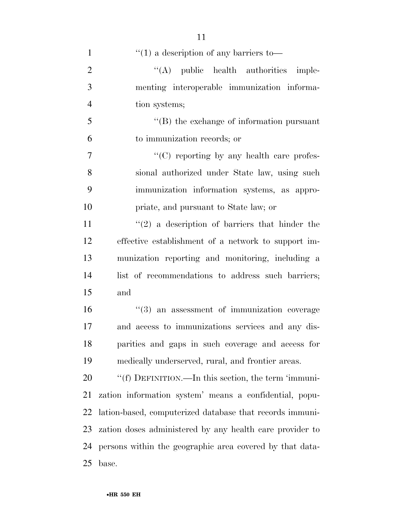| $\mathbf{1}$   | $``(1)$ a description of any barriers to-                |
|----------------|----------------------------------------------------------|
| $\overline{2}$ | $\lq\lq$ public health authorities imple-                |
| 3              | menting interoperable immunization informa-              |
| $\overline{4}$ | tion systems;                                            |
| 5              | $\lq\lq$ the exchange of information pursuant            |
| 6              | to immunization records; or                              |
| $\overline{7}$ | "(C) reporting by any health care profes-                |
| 8              | sional authorized under State law, using such            |
| 9              | immunization information systems, as appro-              |
| 10             | priate, and pursuant to State law; or                    |
| 11             | $\lq(2)$ a description of barriers that hinder the       |
| 12             | effective establishment of a network to support im-      |
| 13             | munization reporting and monitoring, including a         |
| 14             | list of recommendations to address such barriers;        |
| 15             | and                                                      |
| 16             | $"$ (3) an assessment of immunization coverage           |
| 17             | and access to immunizations services and any dis-        |
| 18             | parities and gaps in such coverage and access for        |
| 19             | medically underserved, rural, and frontier areas.        |
| 20             | "(f) DEFINITION.—In this section, the term 'immuni-      |
| 21             | zation information system' means a confidential, popu-   |
| 22             | lation-based, computerized database that records immuni- |
| 23             | zation doses administered by any health care provider to |
| 24             | persons within the geographic area covered by that data- |
| 25             | base.                                                    |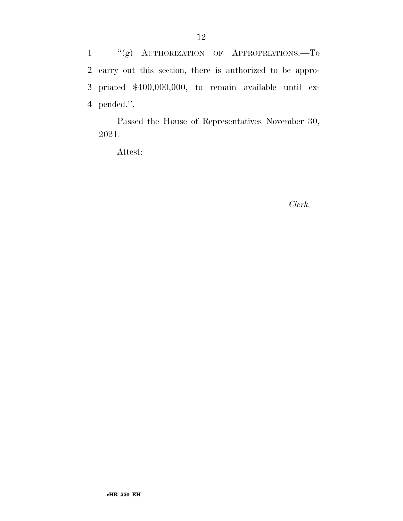''(g) AUTHORIZATION OF APPROPRIATIONS.—To carry out this section, there is authorized to be appro- priated \$400,000,000, to remain available until ex-pended.''.

Passed the House of Representatives November 30, 2021.

Attest:

*Clerk.*